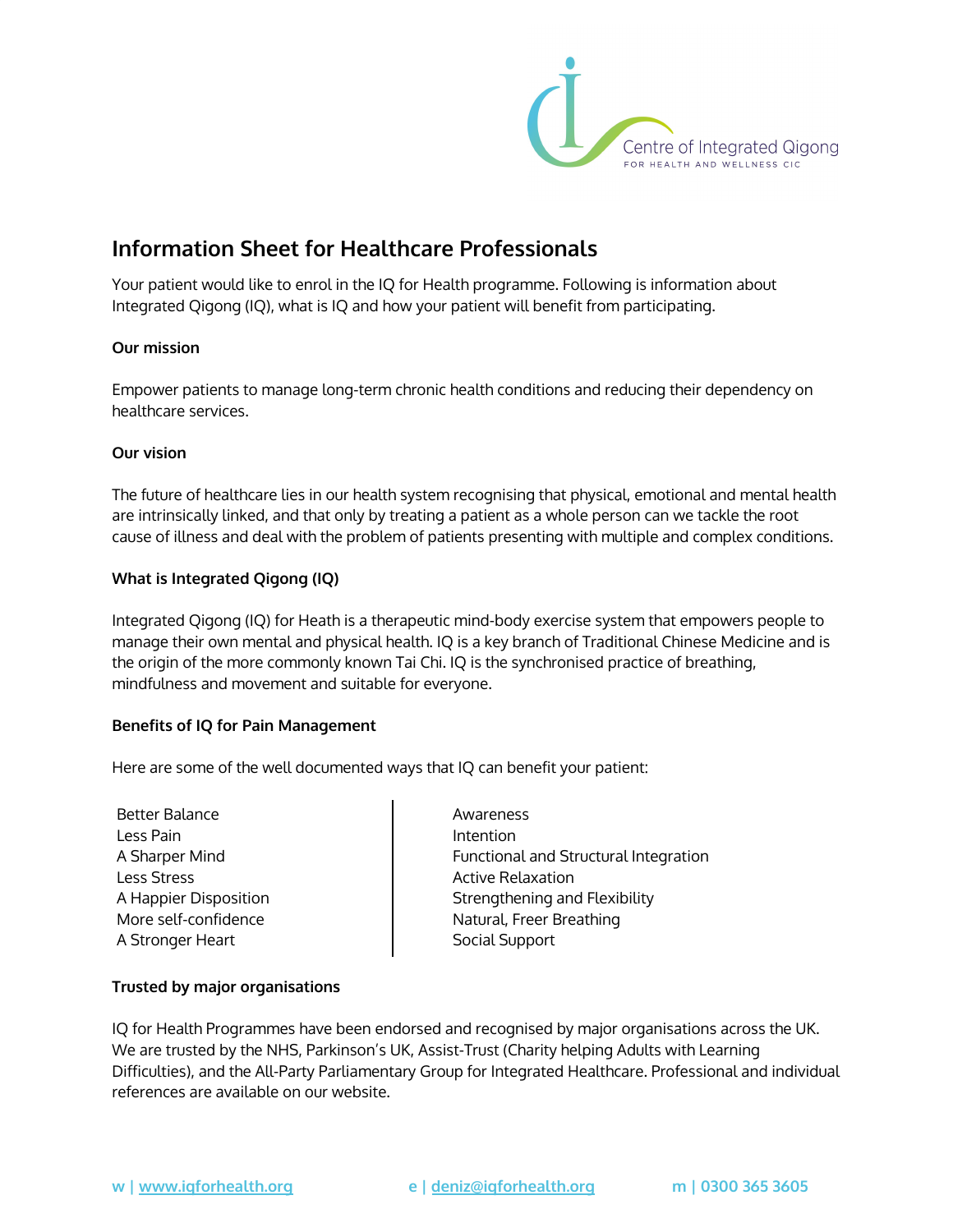

# **Information Sheet for Healthcare Professionals**

Your patient would like to enrol in the IQ for Health programme. Following is information about Integrated Qigong (IQ), what is IQ and how your patient will benefit from participating.

### **Our mission**

Empower patients to manage long-term chronic health conditions and reducing their dependency on healthcare services.

## **Our vision**

The future of healthcare lies in our health system recognising that physical, emotional and mental health are intrinsically linked, and that only by treating a patient as a whole person can we tackle the root cause of illness and deal with the problem of patients presenting with multiple and complex conditions.

## **What is Integrated Qigong (IQ)**

Integrated Qigong (IQ) for Heath is a therapeutic mind-body exercise system that empowers people to manage their own mental and physical health. IQ is a key branch of Traditional Chinese Medicine and is the origin of the more commonly known Tai Chi. IQ is the synchronised practice of breathing, mindfulness and movement and suitable for everyone.

### **Benefits of IQ for Pain Management**

Here are some of the well documented ways that IQ can benefit your patient:

Better Balance Less Pain A Sharper Mind Less Stress A Happier Disposition More self-confidence A Stronger Heart

Awareness Intention Functional and Structural Integration Active Relaxation Strengthening and Flexibility Natural, Freer Breathing Social Support

### **Trusted by major organisations**

IQ for Health Programmes have been endorsed and recognised by major organisations across the UK. We are trusted by the NHS, Parkinson's UK, Assist-Trust (Charity helping Adults with Learning Difficulties), and the All-Party Parliamentary Group for Integrated Healthcare. Professional and individual references are available on our website.